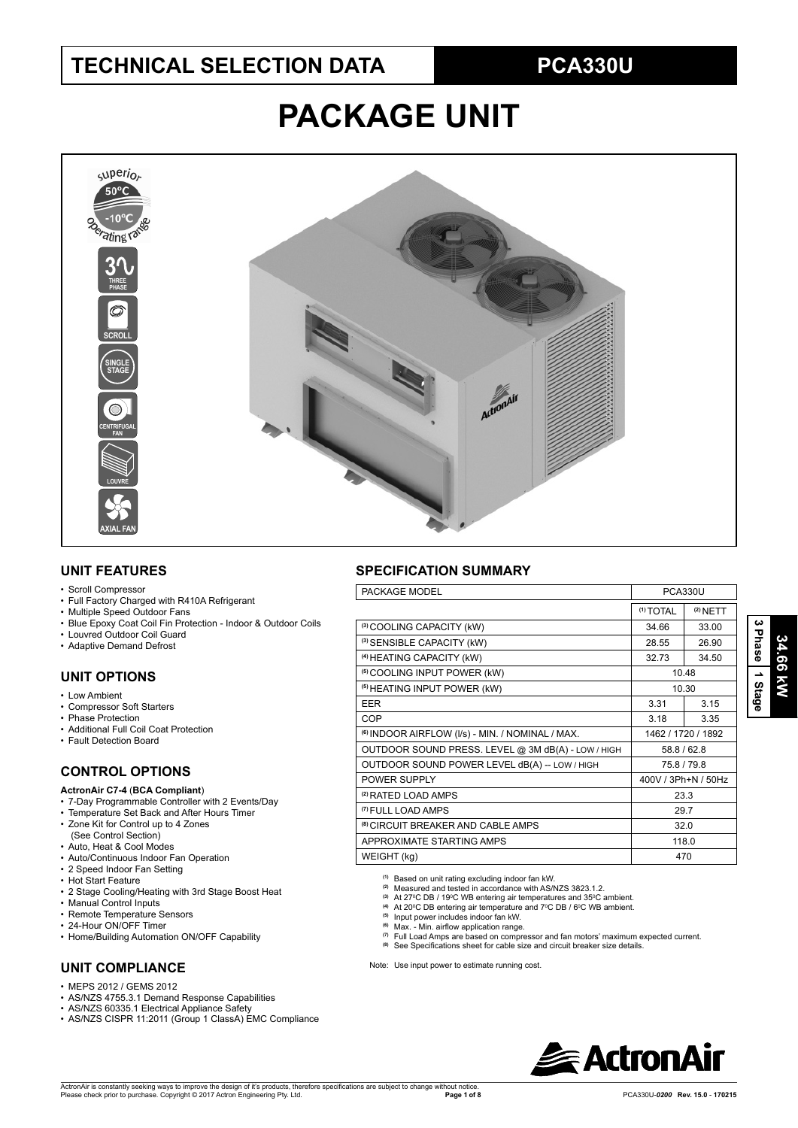# **TECHNICAL SELECTION DATA**

# **PCA330U**

# **PACKAGE UNIT**



#### **UNIT FEATURES**

#### • Scroll Compressor

- Full Factory Charged with R410A Refrigerant
- Multiple Speed Outdoor Fans
- Blue Epoxy Coat Coil Fin Protection Indoor & Outdoor Coils
- Louvred Outdoor Coil Guard
- Adaptive Demand Defrost

### **UNIT OPTIONS**

- Low Ambient
- Compressor Soft Starters
- Phase Protection
- Additional Full Coil Coat Protection
- Fault Detection Board

### **CONTROL OPTIONS**

#### **ActronAir C7-4** (**BCA Compliant**)

- 7-Day Programmable Controller with 2 Events/Day
- Temperature Set Back and After Hours Timer
- Zone Kit for Control up to 4 Zones (See Control Section)
- Auto, Heat & Cool Modes
- Auto/Continuous Indoor Fan Operation
- 2 Speed Indoor Fan Setting
- Hot Start Feature
- 2 Stage Cooling/Heating with 3rd Stage Boost Heat
- Manual Control Inputs
- Remote Temperature Sensors
- 24-Hour ON/OFF Timer
- Home/Building Automation ON/OFF Capability

## **UNIT COMPLIANCE**

- $\cdot$  MEPS 2012 / GEMS 2012
- AS/NZS 4755.3.1 Demand Response Capabilities
- AS/NZS 60335.1 Electrical Appliance Safety
- AS/NZS CISPR 11:2011 (Group 1 ClassA) EMC Compliance

## **SPECIFICATION SUMMARY**

| PACKAGE MODEL                                               | PCA330U              |                     |  |  |
|-------------------------------------------------------------|----------------------|---------------------|--|--|
|                                                             | <sup>(1)</sup> TOTAL | $(2)$ NETT          |  |  |
| (3) COOLING CAPACITY (kW)                                   | 34.66                | 33.00               |  |  |
| (3) SENSIBLE CAPACITY (kW)                                  | 28.55                | 26.90               |  |  |
| <sup>(4)</sup> HEATING CAPACITY (kW)                        | 32.73                | 34.50               |  |  |
| <sup>(5)</sup> COOLING INPUT POWER (kW)                     |                      | 10.48               |  |  |
| <sup>(5)</sup> HEATING INPUT POWER (kW)                     |                      | 10.30               |  |  |
| <b>EER</b>                                                  | 3.31                 | 3.15                |  |  |
| <b>COP</b>                                                  | 3.18                 | 3.35                |  |  |
| <sup>(6)</sup> INDOOR AIRFLOW (I/s) - MIN. / NOMINAL / MAX. |                      | 1462 / 1720 / 1892  |  |  |
| OUTDOOR SOUND PRESS. LEVEL @ 3M dB(A) - LOW / HIGH          | 58.8 / 62.8          |                     |  |  |
| OUTDOOR SOUND POWER LEVEL dB(A) -- LOW / HIGH               | 75.8 / 79.8          |                     |  |  |
| POWER SUPPLY                                                |                      | 400V / 3Ph+N / 50Hz |  |  |
| <sup>(2)</sup> RATED LOAD AMPS                              | 23.3                 |                     |  |  |
| <sup>(7)</sup> FULL LOAD AMPS                               | 29.7                 |                     |  |  |
| <sup>(8)</sup> CIRCUIT BREAKER AND CABLE AMPS               | 32.0                 |                     |  |  |
| APPROXIMATE STARTING AMPS                                   | 118.0                |                     |  |  |
| WEIGHT (kg)                                                 | 470                  |                     |  |  |

**(1)** Based on unit rating excluding indoor fan kW. **(2)** Measured and tested in accordance with AS/NZS 3823.1.2.

- 
- <sup>(3)</sup> At 27ºC DB / 19ºC WB entering air temperatures and 35ºC ambient.<br><sup>(4)</sup> At 20ºC DB entering air temperature and 7ºC DB / 6ºC WB ambient.<br><sup>(5)</sup> Input power includes indoor fan kW.

- 
- <sup>(6)</sup> Max. Min. airflow application range.<br><sup>(7)</sup> Full Load Amps are based on compressor and fan motors' maximum expected current.
- <sup>(8)</sup> See Specifications sheet for cable size and circuit breaker size details.

Note: Use input power to estimate running cost.



**3 Phase**

 **1 Stage**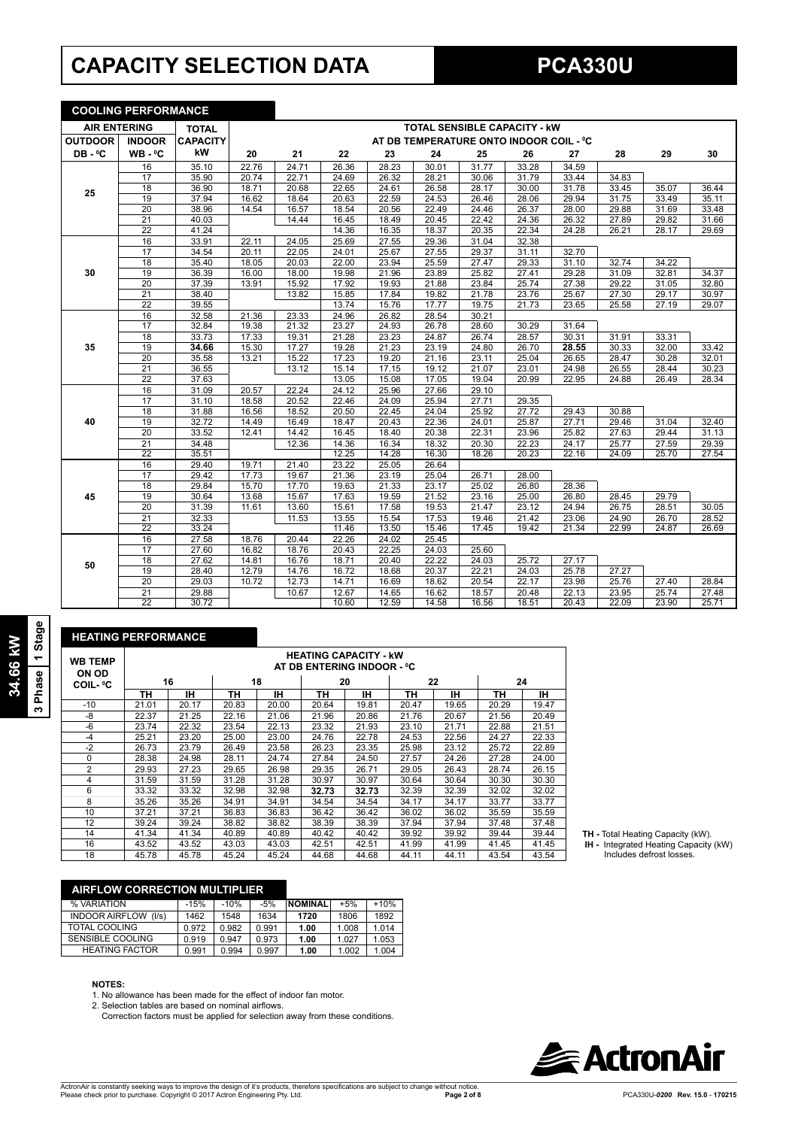# **CAPACITY SELECTION DATA**

**COOLING PERFORMANCE**

|                                     | <u>COULING PERFORMANCE</u> |                 |       |                                         |       |       |       |       |       |       |       |       |       |
|-------------------------------------|----------------------------|-----------------|-------|-----------------------------------------|-------|-------|-------|-------|-------|-------|-------|-------|-------|
| <b>AIR ENTERING</b><br><b>TOTAL</b> |                            |                 |       | <b>TOTAL SENSIBLE CAPACITY - KW</b>     |       |       |       |       |       |       |       |       |       |
| <b>OUTDOOR</b>                      | <b>INDOOR</b>              | <b>CAPACITY</b> |       | AT DB TEMPERATURE ONTO INDOOR COIL - °C |       |       |       |       |       |       |       |       |       |
| DB-°C                               | $WB - C$                   | kW              | 20    | 21                                      | 22    | 23    | 24    | 25    | 26    | 27    | 28    | 29    | 30    |
|                                     | 16                         | 35.10           | 22.76 | 24.71                                   | 26.36 | 28.23 | 30.01 | 31.77 | 33.28 | 34.59 |       |       |       |
|                                     | 17                         | 35.90           | 20.74 | 22.71                                   | 24.69 | 26.32 | 28.21 | 30.06 | 31.79 | 33.44 | 34.83 |       |       |
| 25                                  | 18                         | 36.90           | 18.71 | 20.68                                   | 22.65 | 24.61 | 26.58 | 28.17 | 30.00 | 31.78 | 33.45 | 35.07 | 36.44 |
|                                     | 19                         | 37.94           | 16.62 | 18.64                                   | 20.63 | 22.59 | 24.53 | 26.46 | 28.06 | 29.94 | 31.75 | 33.49 | 35.11 |
|                                     | $\overline{20}$            | 38.96           | 14.54 | 16.57                                   | 18.54 | 20.56 | 22.49 | 24.46 | 26.37 | 28.00 | 29.88 | 31.69 | 33.48 |
|                                     | $\overline{21}$            | 40.03           |       | 14.44                                   | 16.45 | 18.49 | 20.45 | 22.42 | 24.36 | 26.32 | 27.89 | 29.82 | 31.66 |
|                                     | $\overline{22}$            | 41.24           |       |                                         | 14.36 | 16.35 | 18.37 | 20.35 | 22.34 | 24.28 | 26.21 | 28.17 | 29.69 |
|                                     | 16                         | 33.91           | 22.11 | 24.05                                   | 25.69 | 27.55 | 29.36 | 31.04 | 32.38 |       |       |       |       |
|                                     | 17                         | 34.54           | 20.11 | 22.05                                   | 24.01 | 25.67 | 27.55 | 29.37 | 31.11 | 32.70 |       |       |       |
|                                     | 18                         | 35.40           | 18.05 | 20.03                                   | 22.00 | 23.94 | 25.59 | 27.47 | 29.33 | 31.10 | 32.74 | 34.22 |       |
| 30                                  | 19                         | 36.39           | 16.00 | 18.00                                   | 19.98 | 21.96 | 23.89 | 25.82 | 27.41 | 29.28 | 31.09 | 32.81 | 34.37 |
|                                     | $\overline{20}$            | 37.39           | 13.91 | 15.92                                   | 17.92 | 19.93 | 21.88 | 23.84 | 25.74 | 27.38 | 29.22 | 31.05 | 32.80 |
|                                     | $\overline{21}$            | 38.40           |       | 13.82                                   | 15.85 | 17.84 | 19.82 | 21.78 | 23.76 | 25.67 | 27.30 | 29.17 | 30.97 |
|                                     | 22                         | 39.55           |       |                                         | 13.74 | 15.76 | 17.77 | 19.75 | 21.73 | 23.65 | 25.58 | 27.19 | 29.07 |
|                                     | 16                         | 32.58           | 21.36 | 23.33                                   | 24.96 | 26.82 | 28.54 | 30.21 |       |       |       |       |       |
|                                     | 17                         | 32.84           | 19.38 | 21.32                                   | 23.27 | 24.93 | 26.78 | 28.60 | 30.29 | 31.64 |       |       |       |
|                                     | 18                         | 33.73           | 17.33 | 19.31                                   | 21.28 | 23.23 | 24.87 | 26.74 | 28.57 | 30.31 | 31.91 | 33.31 |       |
| 35                                  | 19                         | 34.66           | 15.30 | 17.27                                   | 19.28 | 21.23 | 23.19 | 24.80 | 26.70 | 28.55 | 30.33 | 32.00 | 33.42 |
|                                     | 20                         | 35.58           | 13.21 | 15.22                                   | 17.23 | 19.20 | 21.16 | 23.11 | 25.04 | 26.65 | 28.47 | 30.28 | 32.01 |
|                                     | $\overline{21}$            | 36.55           |       | 13.12                                   | 15.14 | 17.15 | 19.12 | 21.07 | 23.01 | 24.98 | 26.55 | 28.44 | 30.23 |
|                                     | $\overline{22}$            | 37.63           |       |                                         | 13.05 | 15.08 | 17.05 | 19.04 | 20.99 | 22.95 | 24.88 | 26.49 | 28.34 |
|                                     | 16                         | 31.09           | 20.57 | 22.24                                   | 24.12 | 25.96 | 27.66 | 29.10 |       |       |       |       |       |
|                                     | $\overline{17}$            | 31.10           | 18.58 | 20.52                                   | 22.46 | 24.09 | 25.94 | 27.71 | 29.35 |       |       |       |       |
|                                     | 18                         | 31.88           | 16.56 | 18.52                                   | 20.50 | 22.45 | 24.04 | 25.92 | 27.72 | 29.43 | 30.88 |       |       |
| 40                                  | 19                         | 32.72           | 14.49 | 16.49                                   | 18.47 | 20.43 | 22.36 | 24.01 | 25.87 | 27.71 | 29.46 | 31.04 | 32.40 |
|                                     | $\overline{20}$            | 33.52           | 12.41 | 14.42                                   | 16.45 | 18.40 | 20.38 | 22.31 | 23.96 | 25.82 | 27.63 | 29.44 | 31.13 |
|                                     | 21                         | 34.48           |       | 12.36                                   | 14.36 | 16.34 | 18.32 | 20.30 | 22.23 | 24.17 | 25.77 | 27.59 | 29.39 |
|                                     | $\overline{22}$            | 35.51           |       |                                         | 12.25 | 14.28 | 16.30 | 18.26 | 20.23 | 22.16 | 24.09 | 25.70 | 27.54 |
|                                     | 16                         | 29.40           | 19.71 | 21.40                                   | 23.22 | 25.05 | 26.64 |       |       |       |       |       |       |
|                                     | $\overline{17}$            | 29.42           | 17.73 | 19.67                                   | 21.36 | 23.19 | 25.04 | 26.71 | 28.00 |       |       |       |       |
|                                     | $\overline{18}$            | 29.84           | 15.70 | 17.70                                   | 19.63 | 21.33 | 23.17 | 25.02 | 26.80 | 28.36 |       |       |       |
| 45                                  | 19                         | 30.64           | 13.68 | 15.67                                   | 17.63 | 19.59 | 21.52 | 23.16 | 25.00 | 26.80 | 28.45 | 29.79 |       |
|                                     | 20                         | 31.39           | 11.61 | 13.60                                   | 15.61 | 17.58 | 19.53 | 21.47 | 23.12 | 24.94 | 26.75 | 28.51 | 30.05 |
|                                     | 21                         | 32.33           |       | 11.53                                   | 13.55 | 15.54 | 17.53 | 19.46 | 21.42 | 23.06 | 24.90 | 26.70 | 28.52 |
|                                     | 22                         | 33.24           |       |                                         | 11.46 | 13.50 | 15.46 | 17.45 | 19.42 | 21.34 | 22.99 | 24.87 | 26.69 |
|                                     | 16                         | 27.58           | 18.76 | 20.44                                   | 22.26 | 24.02 | 25.45 |       |       |       |       |       |       |
|                                     | 17                         | 27.60           | 16.82 | 18.76                                   | 20.43 | 22.25 | 24.03 | 25.60 |       |       |       |       |       |
| 50                                  | $\overline{18}$            | 27.62           | 14.81 | 16.76                                   | 18.71 | 20.40 | 22.22 | 24.03 | 25.72 | 27.17 |       |       |       |
|                                     | 19                         | 28.40           | 12.79 | 14.76                                   | 16.72 | 18.68 | 20.37 | 22.21 | 24.03 | 25.78 | 27.27 |       |       |
|                                     | 20                         | 29.03           | 10.72 | 12.73                                   | 14.71 | 16.69 | 18.62 | 20.54 | 22.17 | 23.98 | 25.76 | 27.40 | 28.84 |
|                                     | $\overline{21}$            | 29.88           |       | 10.67                                   | 12.67 | 14.65 | 16.62 | 18.57 | 20.48 | 22.13 | 23.95 | 25.74 | 27.48 |
|                                     | $\overline{22}$            | 30.72           |       |                                         | 10.60 | 12.59 | 14.58 | 16.56 | 18.51 | 20.43 | 22.09 | 23.90 | 25.71 |

| <b>HEATING PERFORMANCE</b> |                                                            |       |       |       |       |       |       |       |       |       |
|----------------------------|------------------------------------------------------------|-------|-------|-------|-------|-------|-------|-------|-------|-------|
| <b>WB TEMP</b><br>ON OD    | <b>HEATING CAPACITY - KW</b><br>AT DB ENTERING INDOOR - °C |       |       |       |       |       |       |       |       |       |
| <b>COIL- ºC</b>            |                                                            | 16    | 18    |       | 20    |       |       | 22    | 24    |       |
|                            | ΤН                                                         | ıн    | ΤН    | тн    | ΤН    | IН    | ΤН    | IΗ    | ΤН    | ۱Н    |
| $-10$                      | 21.01                                                      | 20.17 | 20.83 | 20.00 | 20.64 | 19.81 | 20.47 | 19.65 | 20.29 | 19.47 |
| -8                         | 22.37                                                      | 21.25 | 22.16 | 21.06 | 21.96 | 20.86 | 21.76 | 20.67 | 21.56 | 20.49 |
| $-6$                       | 23.74                                                      | 22.32 | 23.54 | 22.13 | 23.32 | 21.93 | 23.10 | 21.71 | 22.88 | 21.51 |
| $-4$                       | 25.21                                                      | 23.20 | 25.00 | 23.00 | 24.76 | 22.78 | 24.53 | 22.56 | 24.27 | 22.33 |
| $-2$                       | 26.73                                                      | 23.79 | 26.49 | 23.58 | 26.23 | 23.35 | 25.98 | 23.12 | 25.72 | 22.89 |
| $\Omega$                   | 28.38                                                      | 24.98 | 28.11 | 24.74 | 27.84 | 24.50 | 27.57 | 24.26 | 27.28 | 24.00 |
| $\overline{2}$             | 29.93                                                      | 27.23 | 29.65 | 26.98 | 29.35 | 26.71 | 29.05 | 26.43 | 28.74 | 26.15 |
| 4                          | 31.59                                                      | 31.59 | 31.28 | 31.28 | 30.97 | 30.97 | 30.64 | 30.64 | 30.30 | 30.30 |
| 6                          | 33.32                                                      | 33.32 | 32.98 | 32.98 | 32.73 | 32.73 | 32.39 | 32.39 | 32.02 | 32.02 |
| 8                          | 35.26                                                      | 35.26 | 34.91 | 34.91 | 34.54 | 34.54 | 34.17 | 34.17 | 33.77 | 33.77 |
| 10                         | 37.21                                                      | 37.21 | 36.83 | 36.83 | 36.42 | 36.42 | 36.02 | 36.02 | 35.59 | 35.59 |
| 12                         | 39.24                                                      | 39.24 | 38.82 | 38.82 | 38.39 | 38.39 | 37.94 | 37.94 | 37.48 | 37.48 |
| 14                         | 41.34                                                      | 41.34 | 40.89 | 40.89 | 40.42 | 40.42 | 39.92 | 39.92 | 39.44 | 39.44 |
| 16                         | 43.52                                                      | 43.52 | 43.03 | 43.03 | 42.51 | 42.51 | 41.99 | 41.99 | 41.45 | 41.45 |
| 18                         | 45.78                                                      | 45.78 | 45.24 | 45.24 | 44.68 | 44.68 | 44.11 | 44.11 | 43.54 | 43.54 |

| <b>TH</b> - Total Heating Capacity (kW). |  |
|------------------------------------------|--|
|------------------------------------------|--|

**TH -** Total Heating Capacity (kW).  **IH -** Integrated Heating Capacity (kW) Includes defrost losses.

| <b>AIRFLOW CORRECTION MULTIPLIER</b> |        |        |       |                |       |        |
|--------------------------------------|--------|--------|-------|----------------|-------|--------|
| % VARIATION                          | $-15%$ | $-10%$ | $-5%$ | <b>NOMINAL</b> | $+5%$ | $+10%$ |
| <b>INDOOR AIRFLOW (I/s)</b>          | 1462   | 1548   | 1634  | 1720           | 1806  | 1892   |
| TOTAL COOLING                        | 0.972  | 0.982  | 0.991 | 1.00           | 1.008 | 1.014  |
| SENSIBLE COOLING                     | 0.919  | 0.947  | 0.973 | 1.00           | 1.027 | 1.053  |

HEATING FACTOR 0.991 0.994 0.997 **1.00** 1.002 1.004

#### **NOTES:**

**34.66 kW 3 Phase 1 Stage**

34.66 kW<br>3 Phase | 1 Stage

1. No allowance has been made for the effect of indoor fan motor.<br>2. Selection tables are based on nominal airflows.

Correction factors must be applied for selection away from these conditions.

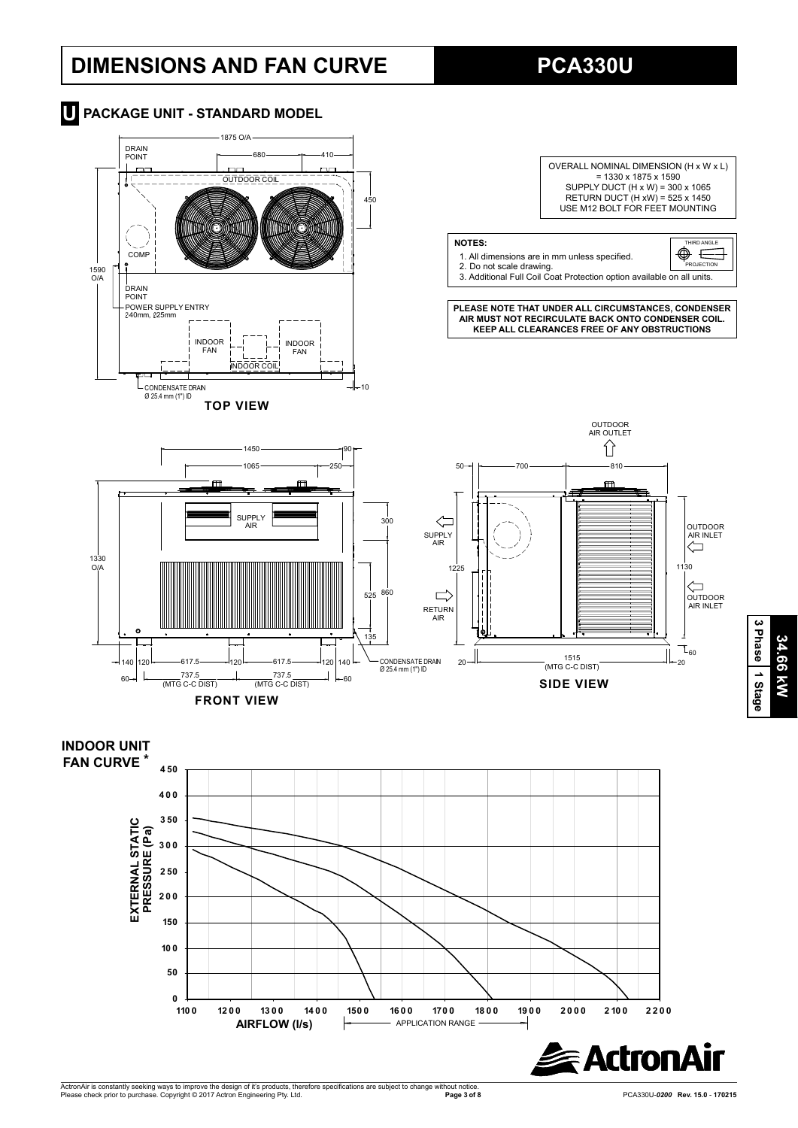# **DIMENSIONS AND FAN CURVE**

**PCA330U**





**110 0 12 0 0 13 0 0 14 0 0 150 0 16 0 0 170 0 18 0 0 19 0 0 2 0 0 0 2 10 0 2 2 0 0**

**AIRFLOW (I/s)**  $\rightarrow$  **APPLICATION RANGE** 

**3 Phase**34.66 kW **34.66 kW 1 Stage**

**Exactron**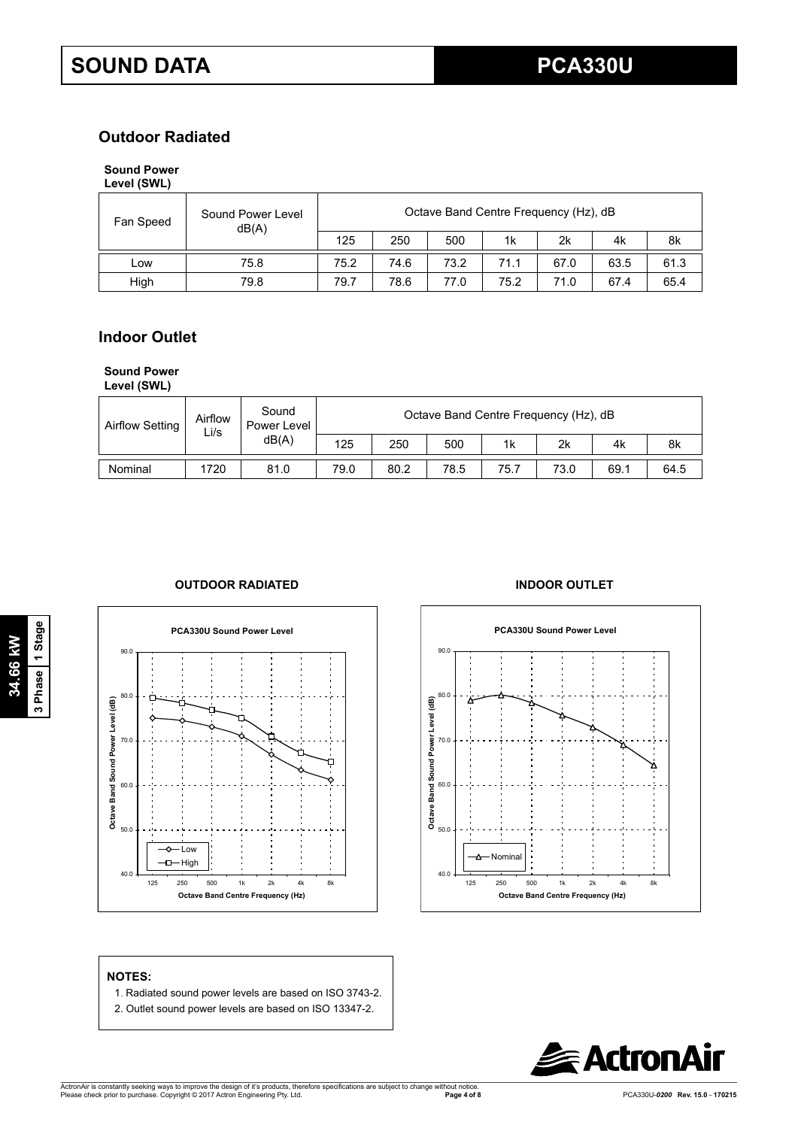## **Outdoor Radiated**

## **Sound Power**

| Level (SWL) |  |
|-------------|--|
|-------------|--|

| Fan Speed | Sound Power Level<br>dB(A) | Octave Band Centre Frequency (Hz), dB |      |      |      |      |      |      |  |
|-----------|----------------------------|---------------------------------------|------|------|------|------|------|------|--|
|           |                            | 125                                   | 250  | 500  | 1k   | 2k   | 4k   | 8k   |  |
| LOW       | 75.8                       | 75.2                                  | 74.6 | 73.2 | 71.1 | 67.0 | 63.5 | 61.3 |  |
| High      | 79.8                       | 79.7                                  | 78.6 | 77.0 | 75.2 | 71.0 | 67.4 | 65.4 |  |

## **Indoor Outlet**

## **Sound Power**

**Level (SWL)**

| <b>Airflow Setting</b> | Airflow<br>Li/s | Sound<br>Power Level | Octave Band Centre Frequency (Hz), dB |      |      |                |      |      |      |  |  |
|------------------------|-----------------|----------------------|---------------------------------------|------|------|----------------|------|------|------|--|--|
|                        |                 | dB(A)                | 125                                   | 250  | 500  | 1 <sub>k</sub> | 2k   | 4k   | 8k   |  |  |
| Nominal                | 1720            | 81.0                 | 79.0                                  | 80.2 | 78.5 | 75.7           | 73.0 | 69.1 | 64.5 |  |  |

### **OUTDOOR RADIATED INDOOR OUTLET**







## **NOTES:**

- 1. Radiated sound power levels are based on ISO 3743-2.
- 2. Outlet sound power levels are based on ISO 13347-2.

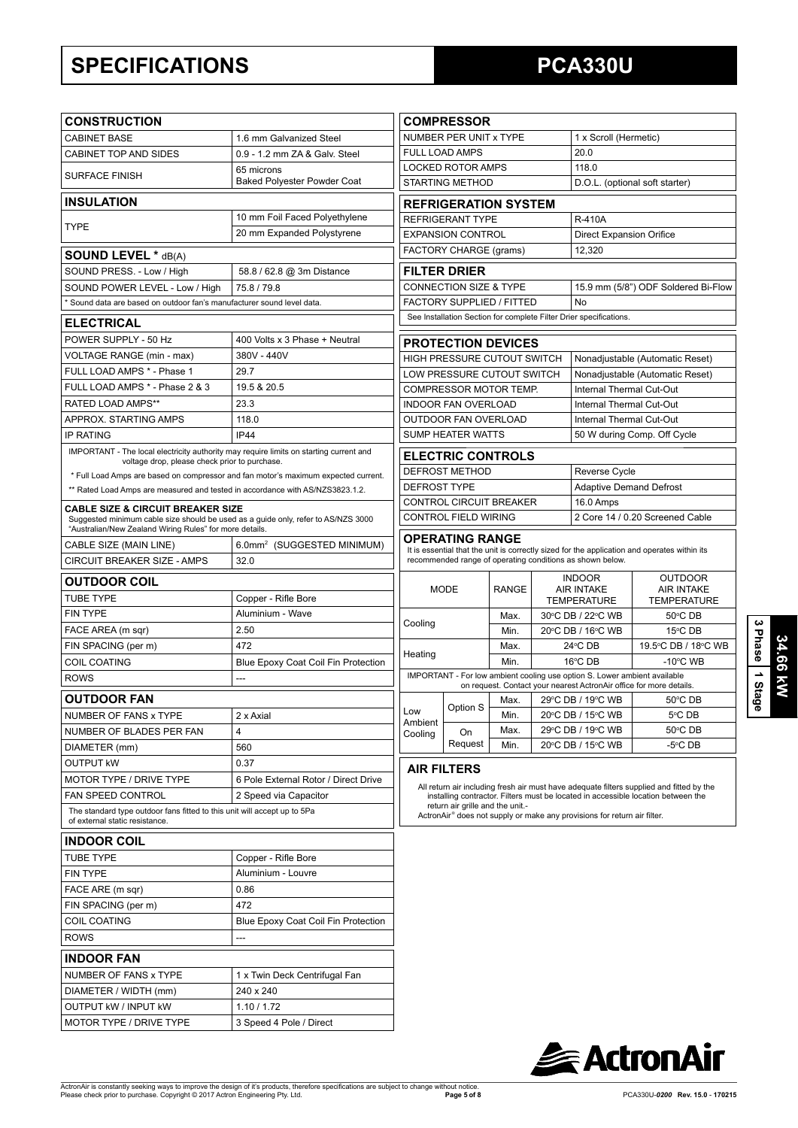# **SPECIFICATIONS**

# **PCA330U**

| <b>CONSTRUCTION</b>                                                                                                                          |                                            |                                   | <b>COMPRESSOR</b>                                                                                                                                                             |                       |  |                                                                                      |                                                                                              |  |  |
|----------------------------------------------------------------------------------------------------------------------------------------------|--------------------------------------------|-----------------------------------|-------------------------------------------------------------------------------------------------------------------------------------------------------------------------------|-----------------------|--|--------------------------------------------------------------------------------------|----------------------------------------------------------------------------------------------|--|--|
| <b>CABINET BASE</b>                                                                                                                          | 1.6 mm Galvanized Steel                    | NUMBER PER UNIT x TYPE            |                                                                                                                                                                               | 1 x Scroll (Hermetic) |  |                                                                                      |                                                                                              |  |  |
| CABINET TOP AND SIDES                                                                                                                        | 0.9 - 1.2 mm ZA & Galv. Steel              | <b>FULL LOAD AMPS</b><br>20.0     |                                                                                                                                                                               |                       |  |                                                                                      |                                                                                              |  |  |
| <b>SURFACE FINISH</b>                                                                                                                        | 65 microns                                 | <b>LOCKED ROTOR AMPS</b><br>118.0 |                                                                                                                                                                               |                       |  |                                                                                      |                                                                                              |  |  |
|                                                                                                                                              | <b>Baked Polyester Powder Coat</b>         |                                   | <b>STARTING METHOD</b>                                                                                                                                                        |                       |  |                                                                                      | D.O.L. (optional soft starter)                                                               |  |  |
| <b>INSULATION</b>                                                                                                                            |                                            |                                   | <b>REFRIGERATION SYSTEM</b>                                                                                                                                                   |                       |  |                                                                                      |                                                                                              |  |  |
| TYPE                                                                                                                                         | 10 mm Foil Faced Polyethylene              |                                   | <b>REFRIGERANT TYPE</b>                                                                                                                                                       |                       |  | R-410A                                                                               |                                                                                              |  |  |
|                                                                                                                                              | 20 mm Expanded Polystyrene                 |                                   | <b>EXPANSION CONTROL</b>                                                                                                                                                      |                       |  | <b>Direct Expansion Orifice</b>                                                      |                                                                                              |  |  |
| <b>SOUND LEVEL * dB(A)</b>                                                                                                                   |                                            |                                   | FACTORY CHARGE (grams)                                                                                                                                                        |                       |  | 12,320                                                                               |                                                                                              |  |  |
| SOUND PRESS. - Low / High                                                                                                                    | 58.8 / 62.8 @ 3m Distance                  |                                   | <b>FILTER DRIER</b>                                                                                                                                                           |                       |  |                                                                                      |                                                                                              |  |  |
| SOUND POWER LEVEL - Low / High                                                                                                               | 75.8 / 79.8                                |                                   | CONNECTION SIZE & TYPE                                                                                                                                                        |                       |  |                                                                                      | 15.9 mm (5/8") ODF Soldered Bi-Flow                                                          |  |  |
| * Sound data are based on outdoor fan's manufacturer sound level data.                                                                       |                                            |                                   | <b>FACTORY SUPPLIED / FITTED</b>                                                                                                                                              |                       |  | No                                                                                   |                                                                                              |  |  |
| <b>ELECTRICAL</b>                                                                                                                            |                                            |                                   |                                                                                                                                                                               |                       |  | See Installation Section for complete Filter Drier specifications.                   |                                                                                              |  |  |
| POWER SUPPLY - 50 Hz                                                                                                                         | 400 Volts x 3 Phase + Neutral              |                                   | <b>PROTECTION DEVICES</b>                                                                                                                                                     |                       |  |                                                                                      |                                                                                              |  |  |
| VOLTAGE RANGE (min - max)                                                                                                                    | 380V - 440V                                |                                   | HIGH PRESSURE CUTOUT SWITCH                                                                                                                                                   |                       |  |                                                                                      | Nonadjustable (Automatic Reset)                                                              |  |  |
| FULL LOAD AMPS * - Phase 1                                                                                                                   | 29.7                                       |                                   | LOW PRESSURE CUTOUT SWITCH                                                                                                                                                    |                       |  |                                                                                      | Nonadjustable (Automatic Reset)                                                              |  |  |
| FULL LOAD AMPS * - Phase 2 & 3                                                                                                               | 19.5 & 20.5                                |                                   | COMPRESSOR MOTOR TEMP.                                                                                                                                                        |                       |  | Internal Thermal Cut-Out                                                             |                                                                                              |  |  |
| RATED LOAD AMPS**                                                                                                                            | 23.3                                       |                                   | <b>INDOOR FAN OVERLOAD</b>                                                                                                                                                    |                       |  | Internal Thermal Cut-Out                                                             |                                                                                              |  |  |
| APPROX. STARTING AMPS                                                                                                                        | 118.0                                      |                                   | OUTDOOR FAN OVERLOAD                                                                                                                                                          |                       |  | Internal Thermal Cut-Out                                                             |                                                                                              |  |  |
| <b>IP RATING</b>                                                                                                                             | IP44                                       |                                   | <b>SUMP HEATER WATTS</b>                                                                                                                                                      |                       |  |                                                                                      | 50 W during Comp. Off Cycle                                                                  |  |  |
| IMPORTANT - The local electricity authority may require limits on starting current and<br>voltage drop, please check prior to purchase.      |                                            |                                   | <b>ELECTRIC CONTROLS</b>                                                                                                                                                      |                       |  |                                                                                      |                                                                                              |  |  |
| * Full Load Amps are based on compressor and fan motor's maximum expected current.                                                           |                                            |                                   | <b>DEFROST METHOD</b>                                                                                                                                                         |                       |  | <b>Reverse Cycle</b>                                                                 |                                                                                              |  |  |
| ** Rated Load Amps are measured and tested in accordance with AS/NZS3823.1.2.                                                                |                                            | <b>DEFROST TYPE</b>               |                                                                                                                                                                               |                       |  | <b>Adaptive Demand Defrost</b>                                                       |                                                                                              |  |  |
| <b>CABLE SIZE &amp; CIRCUIT BREAKER SIZE</b>                                                                                                 |                                            |                                   | CONTROL CIRCUIT BREAKER                                                                                                                                                       |                       |  | 16.0 Amps                                                                            |                                                                                              |  |  |
| Suggested minimum cable size should be used as a guide only, refer to AS/NZS 3000<br>"Australian/New Zealand Wiring Rules" for more details. |                                            |                                   | CONTROL FIELD WIRING                                                                                                                                                          |                       |  |                                                                                      | 2 Core 14 / 0.20 Screened Cable                                                              |  |  |
| CABLE SIZE (MAIN LINE)                                                                                                                       | 6.0mm <sup>2</sup> (SUGGESTED MINIMUM)     |                                   | <b>OPERATING RANGE</b>                                                                                                                                                        |                       |  |                                                                                      | It is essential that the unit is correctly sized for the application and operates within its |  |  |
| CIRCUIT BREAKER SIZE - AMPS                                                                                                                  | 32.0                                       |                                   |                                                                                                                                                                               |                       |  | recommended range of operating conditions as shown below.                            |                                                                                              |  |  |
| <b>OUTDOOR COIL</b>                                                                                                                          |                                            |                                   |                                                                                                                                                                               |                       |  | <b>INDOOR</b>                                                                        | <b>OUTDOOR</b>                                                                               |  |  |
| TUBE TYPE                                                                                                                                    | Copper - Rifle Bore                        |                                   | <b>MODE</b>                                                                                                                                                                   | <b>RANGE</b>          |  | <b>AIR INTAKE</b><br><b>TEMPERATURE</b>                                              | <b>AIR INTAKE</b><br><b>TEMPERATURE</b>                                                      |  |  |
| FIN TYPE                                                                                                                                     | Aluminium - Wave                           |                                   |                                                                                                                                                                               | Max.                  |  | 30°C DB / 22°C WB                                                                    | 50°C DB                                                                                      |  |  |
| FACE AREA (m sqr)                                                                                                                            | 2.50                                       | Cooling                           |                                                                                                                                                                               | Min.                  |  | 20°C DB / 16°C WB                                                                    | $15^{\circ}$ CDB                                                                             |  |  |
| FIN SPACING (per m)                                                                                                                          | 472                                        |                                   |                                                                                                                                                                               | Max.                  |  | 24°C DB                                                                              | 19.5°C DB / 18°C WB                                                                          |  |  |
| <b>COIL COATING</b>                                                                                                                          | <b>Blue Epoxy Coat Coil Fin Protection</b> | Heating                           |                                                                                                                                                                               | Min.                  |  | 16°C DB                                                                              | $-10^{\circ}$ C WB                                                                           |  |  |
| <b>ROWS</b>                                                                                                                                  | ---                                        |                                   |                                                                                                                                                                               |                       |  | IMPORTANT - For low ambient cooling use option S. Lower ambient available            | on request. Contact your nearest ActronAir office for more details.                          |  |  |
| <b>OUTDOOR FAN</b>                                                                                                                           |                                            |                                   |                                                                                                                                                                               | Max.                  |  | 29°C DB / 19°C WB                                                                    | $50^{\circ}$ CDB                                                                             |  |  |
| NUMBER OF FANS x TYPE                                                                                                                        | 2 x Axial                                  | Low                               | Option S                                                                                                                                                                      | Min.                  |  | 20°C DB / 15°C WB                                                                    | 5°C DB                                                                                       |  |  |
| NUMBER OF BLADES PER FAN                                                                                                                     | $\overline{4}$                             | Ambient<br>Cooling                | On                                                                                                                                                                            | Max.                  |  | 29°C DB / 19°C WB                                                                    | 50°C DB                                                                                      |  |  |
| DIAMETER (mm)                                                                                                                                | 560                                        |                                   | Request                                                                                                                                                                       | Min.                  |  | 20°C DB / 15°C WB                                                                    | -5°C DB                                                                                      |  |  |
| <b>OUTPUT kW</b>                                                                                                                             | 0.37                                       |                                   |                                                                                                                                                                               |                       |  |                                                                                      |                                                                                              |  |  |
| MOTOR TYPE / DRIVE TYPE                                                                                                                      | 6 Pole External Rotor / Direct Drive       |                                   | <b>AIR FILTERS</b>                                                                                                                                                            |                       |  |                                                                                      |                                                                                              |  |  |
| FAN SPEED CONTROL                                                                                                                            | 2 Speed via Capacitor                      |                                   | All return air including fresh air must have adequate filters supplied and fitted by the<br>installing contractor. Filters must be located in accessible location between the |                       |  |                                                                                      |                                                                                              |  |  |
| The standard type outdoor fans fitted to this unit will accept up to 5Pa<br>of external static resistance.                                   |                                            |                                   | return air grille and the unit.-                                                                                                                                              |                       |  | ActronAir <sup>®</sup> does not supply or make any provisions for return air filter. |                                                                                              |  |  |
| <b>INDOOR COIL</b>                                                                                                                           |                                            |                                   |                                                                                                                                                                               |                       |  |                                                                                      |                                                                                              |  |  |
| <b>TUBE TYPE</b>                                                                                                                             | Copper - Rifle Bore                        |                                   |                                                                                                                                                                               |                       |  |                                                                                      |                                                                                              |  |  |
| FIN TYPE                                                                                                                                     | Aluminium - Louvre                         |                                   |                                                                                                                                                                               |                       |  |                                                                                      |                                                                                              |  |  |
| FACE ARE (m sqr)                                                                                                                             | 0.86                                       |                                   |                                                                                                                                                                               |                       |  |                                                                                      |                                                                                              |  |  |
| FIN SPACING (per m)                                                                                                                          | 472                                        |                                   |                                                                                                                                                                               |                       |  |                                                                                      |                                                                                              |  |  |
| <b>COIL COATING</b>                                                                                                                          | Blue Epoxy Coat Coil Fin Protection        |                                   |                                                                                                                                                                               |                       |  |                                                                                      |                                                                                              |  |  |
| <b>ROWS</b>                                                                                                                                  | ---                                        |                                   |                                                                                                                                                                               |                       |  |                                                                                      |                                                                                              |  |  |
| <b>INDOOR FAN</b>                                                                                                                            |                                            |                                   |                                                                                                                                                                               |                       |  |                                                                                      |                                                                                              |  |  |
| NUMBER OF FANS x TYPE                                                                                                                        | 1 x Twin Deck Centrifugal Fan              |                                   |                                                                                                                                                                               |                       |  |                                                                                      |                                                                                              |  |  |
| DIAMETER / WIDTH (mm)                                                                                                                        | 240 x 240                                  |                                   |                                                                                                                                                                               |                       |  |                                                                                      |                                                                                              |  |  |
| OUTPUT kW / INPUT kW                                                                                                                         | 1.10 / 1.72                                |                                   |                                                                                                                                                                               |                       |  |                                                                                      |                                                                                              |  |  |
| MOTOR TYPE / DRIVE TYPE                                                                                                                      | 3 Speed 4 Pole / Direct                    |                                   |                                                                                                                                                                               |                       |  |                                                                                      |                                                                                              |  |  |
|                                                                                                                                              |                                            |                                   |                                                                                                                                                                               |                       |  |                                                                                      |                                                                                              |  |  |

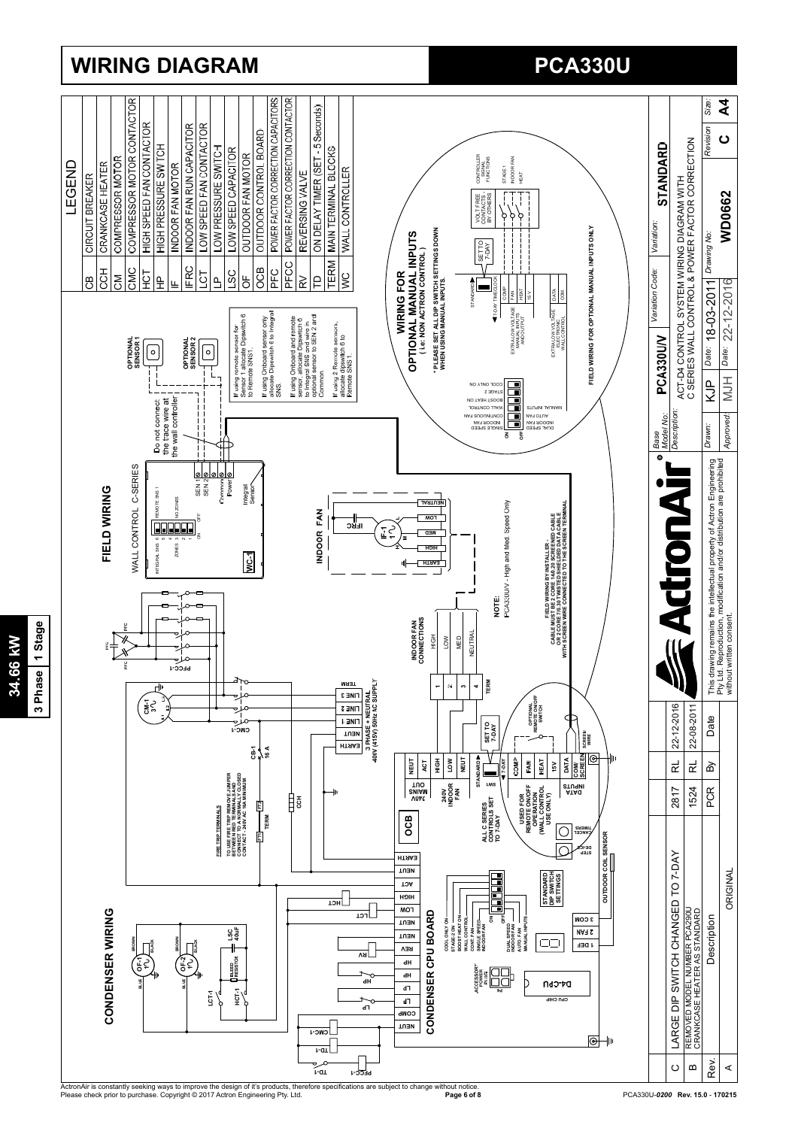

# **WIRING DIAGRAM PCA330U PCA330U**

**34.66 kW 3 Phase 1 Stage**

34.66 kW

3 Phase 1 Stage

ActronAir is constantly seeking ways to improve the design of it's products, therefore specifications are subject to change without notice.<br>Please check prior to purchase. Copyright © 2017 Actron Engineering Pty. Ltd.